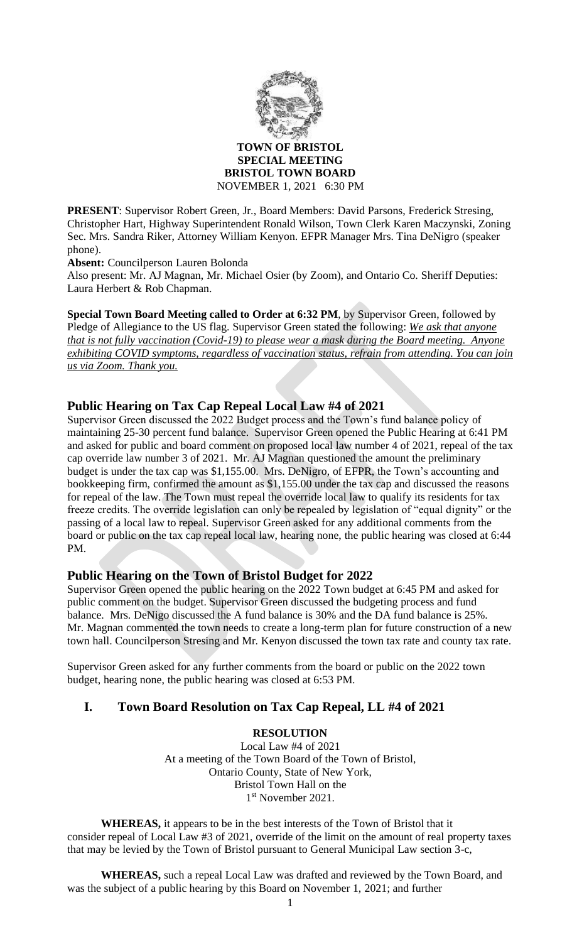

#### **TOWN OF BRISTOL SPECIAL MEETING BRISTOL TOWN BOARD** NOVEMBER 1, 2021 6:30 PM

**PRESENT**: Supervisor Robert Green, Jr., Board Members: David Parsons, Frederick Stresing, Christopher Hart, Highway Superintendent Ronald Wilson, Town Clerk Karen Maczynski, Zoning Sec. Mrs. Sandra Riker, Attorney William Kenyon. EFPR Manager Mrs. Tina DeNigro (speaker phone).

**Absent:** Councilperson Lauren Bolonda

Also present: Mr. AJ Magnan, Mr. Michael Osier (by Zoom), and Ontario Co. Sheriff Deputies: Laura Herbert & Rob Chapman.

**Special Town Board Meeting called to Order at 6:32 PM**, by Supervisor Green, followed by Pledge of Allegiance to the US flag. Supervisor Green stated the following: *We ask that anyone that is not fully vaccination (Covid-19) to please wear a mask during the Board meeting. Anyone exhibiting COVID symptoms, regardless of vaccination status, refrain from attending. You can join us via Zoom. Thank you.*

## **Public Hearing on Tax Cap Repeal Local Law #4 of 2021**

Supervisor Green discussed the 2022 Budget process and the Town's fund balance policy of maintaining 25-30 percent fund balance. Supervisor Green opened the Public Hearing at 6:41 PM and asked for public and board comment on proposed local law number 4 of 2021, repeal of the tax cap override law number 3 of 2021. Mr. AJ Magnan questioned the amount the preliminary budget is under the tax cap was \$1,155.00. Mrs. DeNigro, of EFPR, the Town's accounting and bookkeeping firm, confirmed the amount as \$1,155.00 under the tax cap and discussed the reasons for repeal of the law. The Town must repeal the override local law to qualify its residents for tax freeze credits. The override legislation can only be repealed by legislation of "equal dignity" or the passing of a local law to repeal. Supervisor Green asked for any additional comments from the board or public on the tax cap repeal local law, hearing none, the public hearing was closed at 6:44 PM.

## **Public Hearing on the Town of Bristol Budget for 2022**

Supervisor Green opened the public hearing on the 2022 Town budget at 6:45 PM and asked for public comment on the budget. Supervisor Green discussed the budgeting process and fund balance. Mrs. DeNigo discussed the A fund balance is 30% and the DA fund balance is 25%. Mr. Magnan commented the town needs to create a long-term plan for future construction of a new town hall. Councilperson Stresing and Mr. Kenyon discussed the town tax rate and county tax rate.

Supervisor Green asked for any further comments from the board or public on the 2022 town budget, hearing none, the public hearing was closed at 6:53 PM.

## **I. Town Board Resolution on Tax Cap Repeal, LL #4 of 2021**

### **RESOLUTION**

Local Law #4 of 2021 At a meeting of the Town Board of the Town of Bristol, Ontario County, State of New York, Bristol Town Hall on the 1 st November 2021.

**WHEREAS,** it appears to be in the best interests of the Town of Bristol that it consider repeal of Local Law #3 of 2021, override of the limit on the amount of real property taxes that may be levied by the Town of Bristol pursuant to General Municipal Law section 3-c,

**WHEREAS,** such a repeal Local Law was drafted and reviewed by the Town Board, and was the subject of a public hearing by this Board on November 1, 2021; and further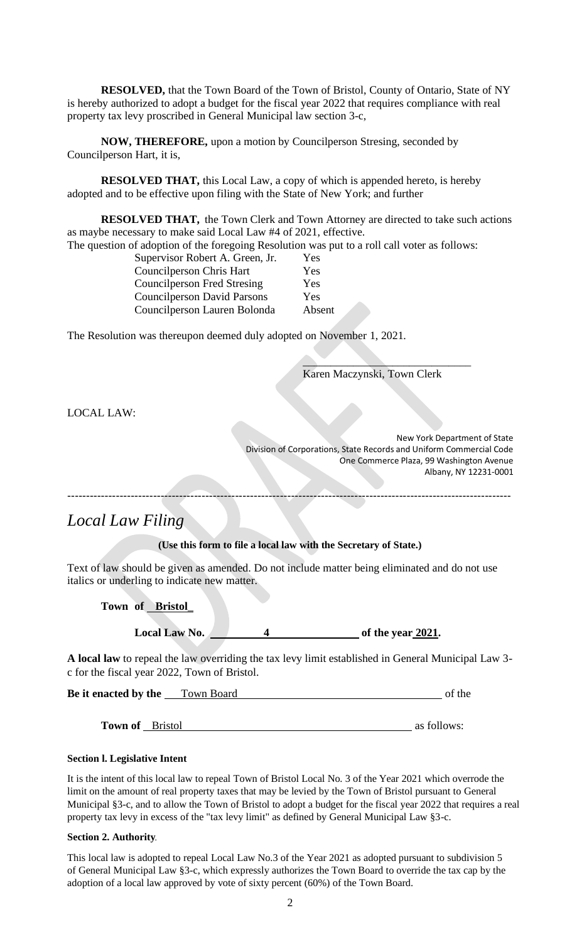**RESOLVED,** that the Town Board of the Town of Bristol, County of Ontario, State of NY is hereby authorized to adopt a budget for the fiscal year 2022 that requires compliance with real property tax levy proscribed in General Municipal law section 3-c,

**NOW, THEREFORE,** upon a motion by Councilperson Stresing, seconded by Councilperson Hart, it is,

**RESOLVED THAT,** this Local Law, a copy of which is appended hereto, is hereby adopted and to be effective upon filing with the State of New York; and further

**RESOLVED THAT,** the Town Clerk and Town Attorney are directed to take such actions as maybe necessary to make said Local Law #4 of 2021, effective.

The question of adoption of the foregoing Resolution was put to a roll call voter as follows:

| Yes    |  |
|--------|--|
| Yes    |  |
| Yes    |  |
| Yes    |  |
| Absent |  |
|        |  |

The Resolution was thereupon deemed duly adopted on November 1, 2021.

Karen Maczynski, Town Clerk

 $\sum_{i=1}^n x_i = 1$ 

LOCAL LAW:

New York Department of State Division of Corporations, State Records and Uniform Commercial Code One Commerce Plaza, 99 Washington Avenue Albany, NY 12231-0001

-----------------------------------------------------------------------------------------------------------------------

# *Local Law Filing*

**(Use this form to file a local law with the Secretary of State.)** 

Text of law should be given as amended. Do not include matter being eliminated and do not use italics or underling to indicate new matter.

**Town of Bristol**\_

**Local Law No.** 4 of the year 2021.

**A local law** to repeal the law overriding the tax levy limit established in General Municipal Law 3 c for the fiscal year 2022, Town of Bristol.

**Be it enacted by the** Town Board **Community** of the

**Town of** Bristol as follows:

#### **Section l. Legislative Intent**

It is the intent of this local law to repeal Town of Bristol Local No. 3 of the Year 2021 which overrode the limit on the amount of real property taxes that may be levied by the Town of Bristol pursuant to General Municipal §3-c, and to allow the Town of Bristol to adopt a budget for the fiscal year 2022 that requires a real property tax levy in excess of the "tax levy limit" as defined by General Municipal Law §3-c.

#### **Section 2. Authority**

This local law is adopted to repeal Local Law No.3 of the Year 2021 as adopted pursuant to subdivision 5 of General Municipal Law §3-c, which expressly authorizes the Town Board to override the tax cap by the adoption of a local law approved by vote of sixty percent (60%) of the Town Board.